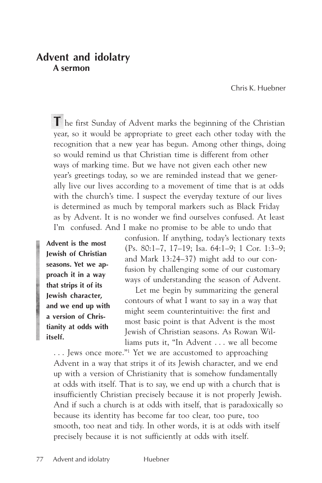# **Advent and idolatry A sermon**

Chris K. Huebner

**T** he first Sunday of Advent marks the beginning of the Christian year, so it would be appropriate to greet each other today with the recognition that a new year has begun. Among other things, doing so would remind us that Christian time is different from other ways of marking time. But we have not given each other new year's greetings today, so we are reminded instead that we generally live our lives according to a movement of time that is at odds with the church's time. I suspect the everyday texture of our lives is determined as much by temporal markers such as Black Friday as by Advent. It is no wonder we find ourselves confused. At least I'm confused. And I make no promise to be able to undo that

**Advent is the most Jewish of Christian seasons. Yet we approach it in a way that strips it of its Jewish character, and we end up with a version of Christianity at odds with itself.**

confusion. If anything, today's lectionary texts (Ps. 80:1–7, 17–19; Isa. 64:1–9; 1 Cor. 1:3–9; and Mark 13:24–37) might add to our confusion by challenging some of our customary ways of understanding the season of Advent.

Let me begin by summarizing the general contours of what I want to say in a way that might seem counterintuitive: the first and most basic point is that Advent is the most Jewish of Christian seasons. As Rowan Williams puts it, "In Advent . . . we all become

... Jews once more."<sup>1</sup> Yet we are accustomed to approaching Advent in a way that strips it of its Jewish character, and we end up with a version of Christianity that is somehow fundamentally at odds with itself. That is to say, we end up with a church that is insufficiently Christian precisely because it is not properly Jewish. And if such a church is at odds with itself, that is paradoxically so because its identity has become far too clear, too pure, too smooth, too neat and tidy. In other words, it is at odds with itself precisely because it is not sufficiently at odds with itself.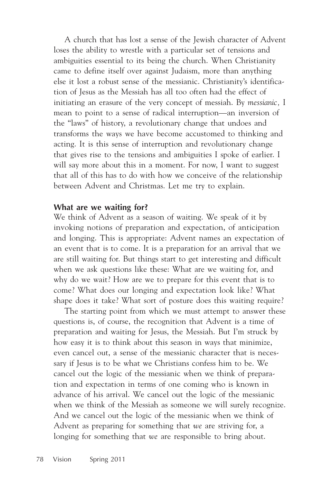A church that has lost a sense of the Jewish character of Advent loses the ability to wrestle with a particular set of tensions and ambiguities essential to its being the church. When Christianity came to define itself over against Judaism, more than anything else it lost a robust sense of the messianic. Christianity's identification of Jesus as the Messiah has all too often had the effect of initiating an erasure of the very concept of messiah. By *messianic,* I mean to point to a sense of radical interruption—an inversion of the "laws" of history, a revolutionary change that undoes and transforms the ways we have become accustomed to thinking and acting. It is this sense of interruption and revolutionary change that gives rise to the tensions and ambiguities I spoke of earlier. I will say more about this in a moment. For now, I want to suggest that all of this has to do with how we conceive of the relationship between Advent and Christmas. Let me try to explain.

## **What are we waiting for?**

We think of Advent as a season of waiting. We speak of it by invoking notions of preparation and expectation, of anticipation and longing. This is appropriate: Advent names an expectation of an event that is to come. It is a preparation for an arrival that we are still waiting for. But things start to get interesting and difficult when we ask questions like these: What are we waiting for, and why do we wait? How are we to prepare for this event that is to come? What does our longing and expectation look like? What shape does it take? What sort of posture does this waiting require?

The starting point from which we must attempt to answer these questions is, of course, the recognition that Advent is a time of preparation and waiting for Jesus, the Messiah. But I'm struck by how easy it is to think about this season in ways that minimize, even cancel out, a sense of the messianic character that is necessary if Jesus is to be what we Christians confess him to be. We cancel out the logic of the messianic when we think of preparation and expectation in terms of one coming who is known in advance of his arrival. We cancel out the logic of the messianic when we think of the Messiah as someone we will surely recognize. And we cancel out the logic of the messianic when we think of Advent as preparing for something that *we* are striving for, a longing for something that *we* are responsible to bring about.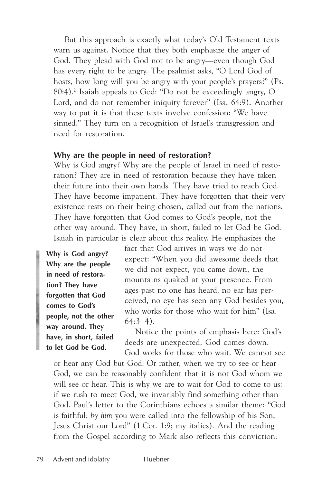But this approach is exactly what today's Old Testament texts warn us against. Notice that they both emphasize the anger of God. They plead with God not to be angry—even though God has every right to be angry. The psalmist asks, "O Lord God of hosts, how long will you be angry with your people's prayers?" (Ps. 80:4).2 Isaiah appeals to God: "Do not be exceedingly angry, O Lord, and do not remember iniquity forever" (Isa. 64:9). Another way to put it is that these texts involve confession: "We have sinned." They turn on a recognition of Israel's transgression and need for restoration.

### **Why are the people in need of restoration?**

Why is God angry? Why are the people of Israel in need of restoration? They are in need of restoration because they have taken their future into their own hands. They have tried to reach God. They have become impatient. They have forgotten that their very existence rests on their being chosen, called out from the nations. They have forgotten that God comes to God's people, not the other way around. They have, in short, failed to let God be God. Isaiah in particular is clear about this reality. He emphasizes the

**Why is God angry? Why are the people in need of restoration? They have forgotten that God comes to God's people, not the other way around. They have, in short, failed to let God be God.**

fact that God arrives in ways we do not expect: "When you did awesome deeds that we did not expect, you came down, the mountains quaked at your presence. From ages past no one has heard, no ear has perceived, no eye has seen any God besides you, who works for those who wait for him" (Isa. 64:3–4).

Notice the points of emphasis here: God's deeds are unexpected. God comes down. God works for those who wait. We cannot see

or hear any God but God. Or rather, when we try to see or hear God, we can be reasonably confident that it is not God whom we will see or hear. This is why we are to wait for God to come to us: if we rush to meet God, we invariably find something other than God. Paul's letter to the Corinthians echoes a similar theme: "God is faithful; *by him* you were called into the fellowship of his Son, Jesus Christ our Lord" (1 Cor. 1:9; my italics). And the reading from the Gospel according to Mark also reflects this conviction: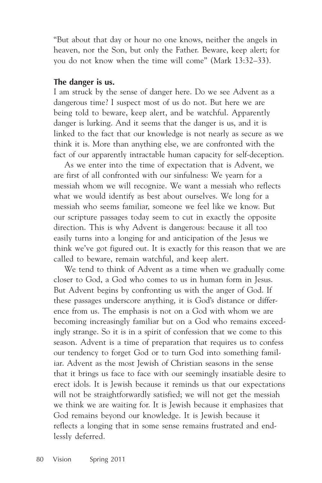"But about that day or hour no one knows, neither the angels in heaven, nor the Son, but only the Father. Beware, keep alert; for you do not know when the time will come" (Mark 13:32–33).

### **The danger is us.**

I am struck by the sense of danger here. Do we see Advent as a dangerous time? I suspect most of us do not. But here we are being told to beware, keep alert, and be watchful. Apparently danger is lurking. And it seems that the danger is us, and it is linked to the fact that our knowledge is not nearly as secure as we think it is. More than anything else, we are confronted with the fact of our apparently intractable human capacity for self-deception.

As we enter into the time of expectation that is Advent, we are first of all confronted with our sinfulness: We yearn for a messiah whom we will recognize. We want a messiah who reflects what we would identify as best about ourselves. We long for a messiah who seems familiar, someone we feel like we know. But our scripture passages today seem to cut in exactly the opposite direction. This is why Advent is dangerous: because it all too easily turns into a longing for and anticipation of the Jesus we think we've got figured out. It is exactly for this reason that we are called to beware, remain watchful, and keep alert.

We tend to think of Advent as a time when we gradually come closer to God, a God who comes to us in human form in Jesus. But Advent begins by confronting us with the anger of God. If these passages underscore anything, it is God's distance or difference from us. The emphasis is not on a God with whom we are becoming increasingly familiar but on a God who remains exceedingly strange. So it is in a spirit of confession that we come to this season. Advent is a time of preparation that requires us to confess our tendency to forget God or to turn God into something familiar. Advent as the most Jewish of Christian seasons in the sense that it brings us face to face with our seemingly insatiable desire to erect idols. It is Jewish because it reminds us that our expectations will not be straightforwardly satisfied; we will not get the messiah we think we are waiting for. It is Jewish because it emphasizes that God remains beyond our knowledge. It is Jewish because it reflects a longing that in some sense remains frustrated and endlessly deferred.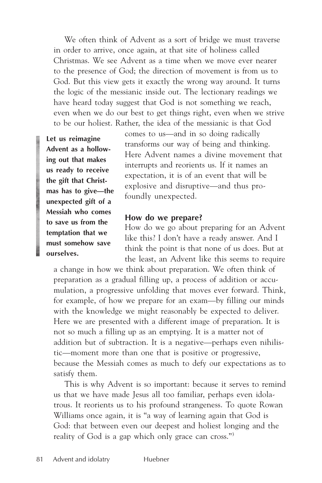We often think of Advent as a sort of bridge we must traverse in order to arrive, once again, at that site of holiness called Christmas. We see Advent as a time when we move ever nearer to the presence of God; the direction of movement is from us to God. But this view gets it exactly the wrong way around. It turns the logic of the messianic inside out. The lectionary readings we have heard today suggest that God is not something we reach, even when we do our best to get things right, even when we strive to be our holiest. Rather, the idea of the messianic is that God

**Let us reimagine Advent as a hollowing out that makes us ready to receive the gift that Christmas has to give—the unexpected gift of a Messiah who comes to save us from the temptation that we must somehow save ourselves.**

comes to us—and in so doing radically transforms our way of being and thinking. Here Advent names a divine movement that interrupts and reorients us. If it names an expectation, it is of an event that will be explosive and disruptive—and thus profoundly unexpected.

#### **How do we prepare?**

How do we go about preparing for an Advent like this? I don't have a ready answer. And I think the point is that none of us does. But at the least, an Advent like this seems to require

a change in how we think about preparation. We often think of preparation as a gradual filling up, a process of addition or accumulation, a progressive unfolding that moves ever forward. Think, for example, of how we prepare for an exam—by filling our minds with the knowledge we might reasonably be expected to deliver. Here we are presented with a different image of preparation. It is not so much a filling up as an emptying. It is a matter not of addition but of subtraction. It is a negative—perhaps even nihilistic—moment more than one that is positive or progressive, because the Messiah comes as much to defy our expectations as to satisfy them.

This is why Advent is so important: because it serves to remind us that we have made Jesus all too familiar, perhaps even idolatrous. It reorients us to his profound strangeness. To quote Rowan Williams once again, it is "a way of learning again that God is God: that between even our deepest and holiest longing and the reality of God is a gap which only grace can cross."3